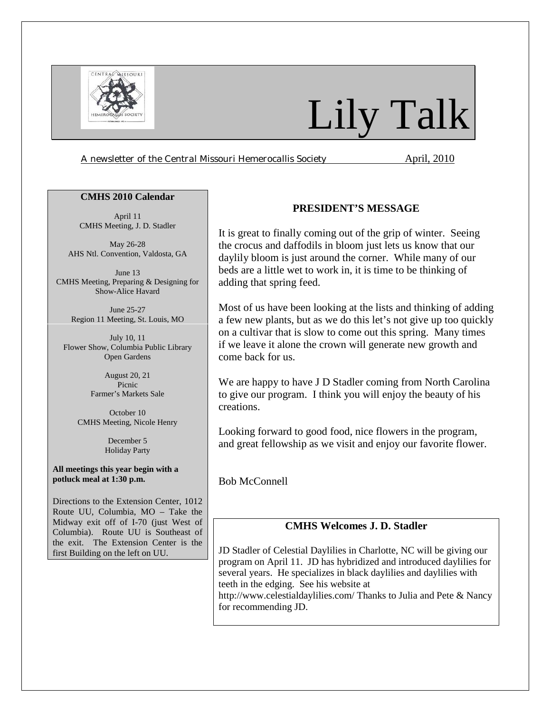

# Lily Talk

*A newsletter of the Central Missouri Hemerocallis Society* **April, 2010** 

#### **CMHS 2010 Calendar**

April 11 CMHS Meeting, J. D. Stadler

May 26-28 AHS Ntl. Convention, Valdosta, GA

June 13 CMHS Meeting, Preparing & Designing for Show-Alice Havard

> June 25-27 Region 11 Meeting, St. Louis, MO

July 10, 11 Flower Show, Columbia Public Library Open Gardens

> August 20, 21 Picnic Farmer's Markets Sale

October 10 CMHS Meeting, Nicole Henry

> December 5 Holiday Party

**All meetings this year begin with a potluck meal at 1:30 p.m.** 

Directions to the Extension Center, 1012 Route UU, Columbia, MO – Take the Midway exit off of I-70 (just West of Columbia). Route UU is Southeast of the exit. The Extension Center is the first Building on the left on UU.

## **PRESIDENT'S MESSAGE**

It is great to finally coming out of the grip of winter. Seeing the crocus and daffodils in bloom just lets us know that our daylily bloom is just around the corner. While many of our beds are a little wet to work in, it is time to be thinking of adding that spring feed.

Most of us have been looking at the lists and thinking of adding a few new plants, but as we do this let's not give up too quickly on a cultivar that is slow to come out this spring. Many times if we leave it alone the crown will generate new growth and come back for us.

We are happy to have J D Stadler coming from North Carolina to give our program. I think you will enjoy the beauty of his creations.

Looking forward to good food, nice flowers in the program, and great fellowship as we visit and enjoy our favorite flower.

Bob McConnell

## **CMHS Welcomes J. D. Stadler**

JD Stadler of Celestial Daylilies in Charlotte, NC will be giving our program on April 11. JD has hybridized and introduced daylilies for several years. He specializes in black daylilies and daylilies with teeth in the edging. See his website at http://www.celestialdaylilies.com/ Thanks to Julia and Pete & Nancy for recommending JD.